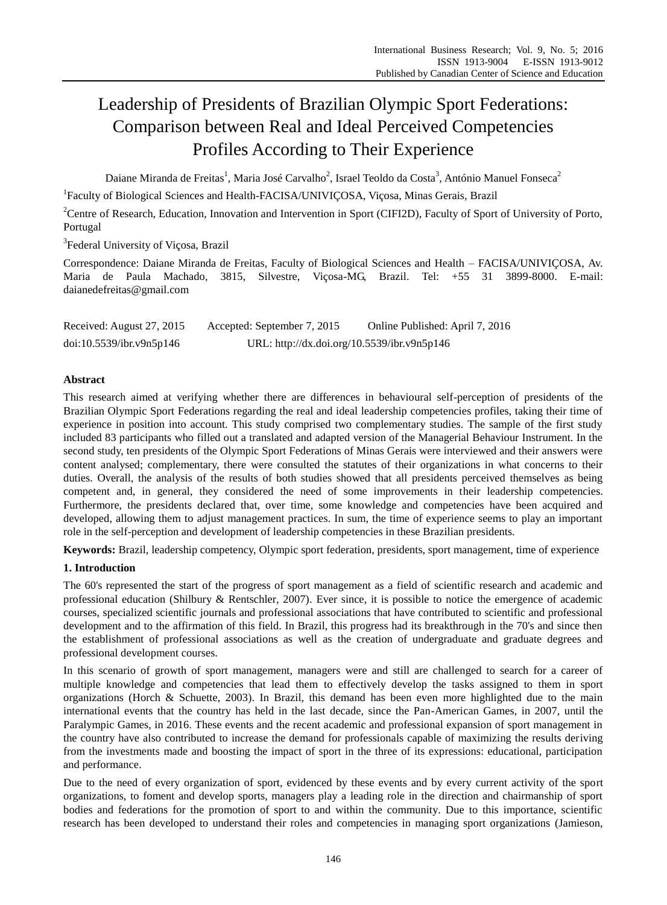# Leadership of Presidents of Brazilian Olympic Sport Federations: Comparison between Real and Ideal Perceived Competencies Profiles According to Their Experience

Daiane Miranda de Freitas<sup>1</sup>, Maria Jos é Carvalho<sup>2</sup>, Israel Teoldo da Costa<sup>3</sup>, António Manuel Fonseca<sup>2</sup>

<sup>1</sup>Faculty of Biological Sciences and Health-FACISA/UNIVIÇOSA, Vi çosa, Minas Gerais, Brazil

<sup>2</sup>Centre of Research, Education, Innovation and Intervention in Sport (CIFI2D), Faculty of Sport of University of Porto, Portugal

<sup>3</sup>Federal University of Vi çosa, Brazil

Correspondence: Daiane Miranda de Freitas, Faculty of Biological Sciences and Health – FACISA/UNIVIÇOSA, Av. Maria de Paula Machado, 3815, Silvestre, Viçosa-MG, Brazil. Tel: +55 31 3899-8000. E-mail: daianedefreitas@gmail.com

| Received: August 27, 2015 | Accepted: September 7, 2015                 | Online Published: April 7, 2016 |
|---------------------------|---------------------------------------------|---------------------------------|
| doi:10.5539/ibr.v9n5p146  | URL: http://dx.doi.org/10.5539/ibr.v9n5p146 |                                 |

# **Abstract**

This research aimed at verifying whether there are differences in behavioural self-perception of presidents of the Brazilian Olympic Sport Federations regarding the real and ideal leadership competencies profiles, taking their time of experience in position into account. This study comprised two complementary studies. The sample of the first study included 83 participants who filled out a translated and adapted version of the Managerial Behaviour Instrument. In the second study, ten presidents of the Olympic Sport Federations of Minas Gerais were interviewed and their answers were content analysed; complementary, there were consulted the statutes of their organizations in what concerns to their duties. Overall, the analysis of the results of both studies showed that all presidents perceived themselves as being competent and, in general, they considered the need of some improvements in their leadership competencies. Furthermore, the presidents declared that, over time, some knowledge and competencies have been acquired and developed, allowing them to adjust management practices. In sum, the time of experience seems to play an important role in the self-perception and development of leadership competencies in these Brazilian presidents.

**Keywords:** Brazil, leadership competency, Olympic sport federation, presidents, sport management, time of experience

# **1. Introduction**

The 60's represented the start of the progress of sport management as a field of scientific research and academic and professional education (Shilbury & Rentschler, 2007). Ever since, it is possible to notice the emergence of academic courses, specialized scientific journals and professional associations that have contributed to scientific and professional development and to the affirmation of this field. In Brazil, this progress had its breakthrough in the 70's and since then the establishment of professional associations as well as the creation of undergraduate and graduate degrees and professional development courses.

In this scenario of growth of sport management, managers were and still are challenged to search for a career of multiple knowledge and competencies that lead them to effectively develop the tasks assigned to them in sport organizations (Horch & Schuette, 2003). In Brazil, this demand has been even more highlighted due to the main international events that the country has held in the last decade, since the Pan-American Games, in 2007, until the Paralympic Games, in 2016. These events and the recent academic and professional expansion of sport management in the country have also contributed to increase the demand for professionals capable of maximizing the results deriving from the investments made and boosting the impact of sport in the three of its expressions: educational, participation and performance.

Due to the need of every organization of sport, evidenced by these events and by every current activity of the sport organizations, to foment and develop sports, managers play a leading role in the direction and chairmanship of sport bodies and federations for the promotion of sport to and within the community. Due to this importance, scientific research has been developed to understand their roles and competencies in managing sport organizations (Jamieson,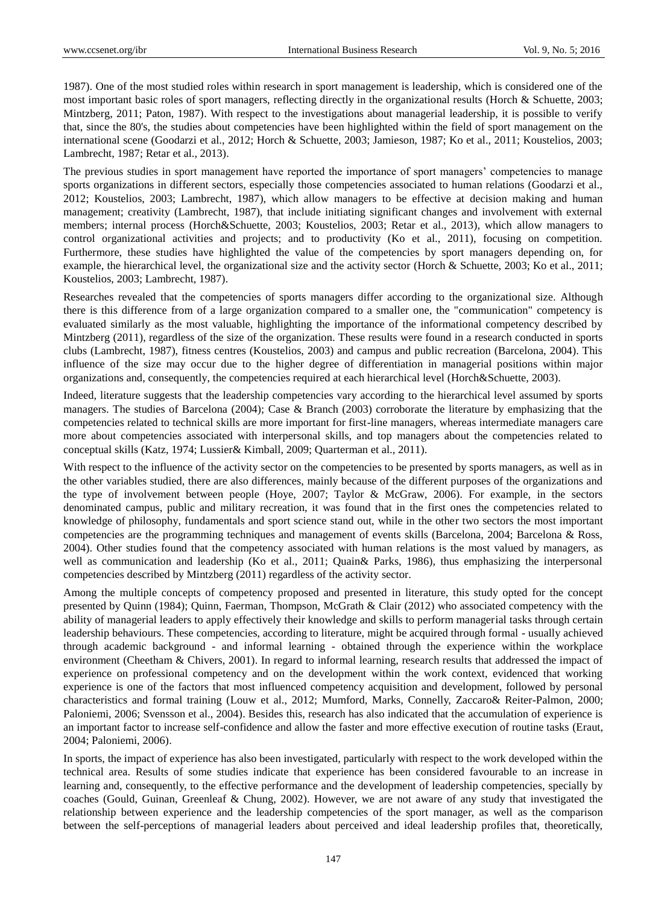1987). One of the most studied roles within research in sport management is leadership, which is considered one of the most important basic roles of sport managers, reflecting directly in the organizational results (Horch & Schuette, 2003; Mintzberg, 2011; Paton, 1987). With respect to the investigations about managerial leadership, it is possible to verify that, since the 80's, the studies about competencies have been highlighted within the field of sport management on the international scene (Goodarzi et al., 2012; Horch & Schuette, 2003; Jamieson, 1987; Ko et al., 2011; Koustelios, 2003; Lambrecht, 1987; Retar et al., 2013).

The previous studies in sport management have reported the importance of sport managers' competencies to manage sports organizations in different sectors, especially those competencies associated to human relations (Goodarzi et al., 2012; Koustelios, 2003; Lambrecht, 1987), which allow managers to be effective at decision making and human management; creativity (Lambrecht, 1987), that include initiating significant changes and involvement with external members; internal process (Horch&Schuette, 2003; Koustelios, 2003; Retar et al., 2013), which allow managers to control organizational activities and projects; and to productivity (Ko et al., 2011), focusing on competition. Furthermore, these studies have highlighted the value of the competencies by sport managers depending on, for example, the hierarchical level, the organizational size and the activity sector (Horch & Schuette, 2003; Ko et al., 2011; Koustelios, 2003; Lambrecht, 1987).

Researches revealed that the competencies of sports managers differ according to the organizational size. Although there is this difference from of a large organization compared to a smaller one, the "communication" competency is evaluated similarly as the most valuable, highlighting the importance of the informational competency described by Mintzberg (2011), regardless of the size of the organization. These results were found in a research conducted in sports clubs (Lambrecht, 1987), fitness centres (Koustelios, 2003) and campus and public recreation (Barcelona, 2004). This influence of the size may occur due to the higher degree of differentiation in managerial positions within major organizations and, consequently, the competencies required at each hierarchical level (Horch&Schuette, 2003).

Indeed, literature suggests that the leadership competencies vary according to the hierarchical level assumed by sports managers. The studies of Barcelona (2004); Case & Branch (2003) corroborate the literature by emphasizing that the competencies related to technical skills are more important for first-line managers, whereas intermediate managers care more about competencies associated with interpersonal skills, and top managers about the competencies related to conceptual skills (Katz, 1974; Lussier& Kimball, 2009; Quarterman et al., 2011).

With respect to the influence of the activity sector on the competencies to be presented by sports managers, as well as in the other variables studied, there are also differences, mainly because of the different purposes of the organizations and the type of involvement between people (Hoye, 2007; Taylor & McGraw, 2006). For example, in the sectors denominated campus, public and military recreation, it was found that in the first ones the competencies related to knowledge of philosophy, fundamentals and sport science stand out, while in the other two sectors the most important competencies are the programming techniques and management of events skills (Barcelona, 2004; Barcelona & Ross, 2004). Other studies found that the competency associated with human relations is the most valued by managers, as well as communication and leadership (Ko et al., 2011; Quain& Parks, 1986), thus emphasizing the interpersonal competencies described by Mintzberg (2011) regardless of the activity sector.

Among the multiple concepts of competency proposed and presented in literature, this study opted for the concept presented by Quinn (1984); Quinn, Faerman, Thompson, McGrath & Clair (2012) who associated competency with the ability of managerial leaders to apply effectively their knowledge and skills to perform managerial tasks through certain leadership behaviours. These competencies, according to literature, might be acquired through formal - usually achieved through academic background - and informal learning - obtained through the experience within the workplace environment (Cheetham & Chivers, 2001). In regard to informal learning, research results that addressed the impact of experience on professional competency and on the development within the work context, evidenced that working experience is one of the factors that most influenced competency acquisition and development, followed by personal characteristics and formal training (Louw et al., 2012; Mumford, Marks, Connelly, Zaccaro& Reiter-Palmon, 2000; Paloniemi, 2006; Svensson et al., 2004). Besides this, research has also indicated that the accumulation of experience is an important factor to increase self-confidence and allow the faster and more effective execution of routine tasks (Eraut, 2004; Paloniemi, 2006).

In sports, the impact of experience has also been investigated, particularly with respect to the work developed within the technical area. Results of some studies indicate that experience has been considered favourable to an increase in learning and, consequently, to the effective performance and the development of leadership competencies, specially by coaches (Gould, Guinan, Greenleaf & Chung, 2002). However, we are not aware of any study that investigated the relationship between experience and the leadership competencies of the sport manager, as well as the comparison between the self-perceptions of managerial leaders about perceived and ideal leadership profiles that, theoretically,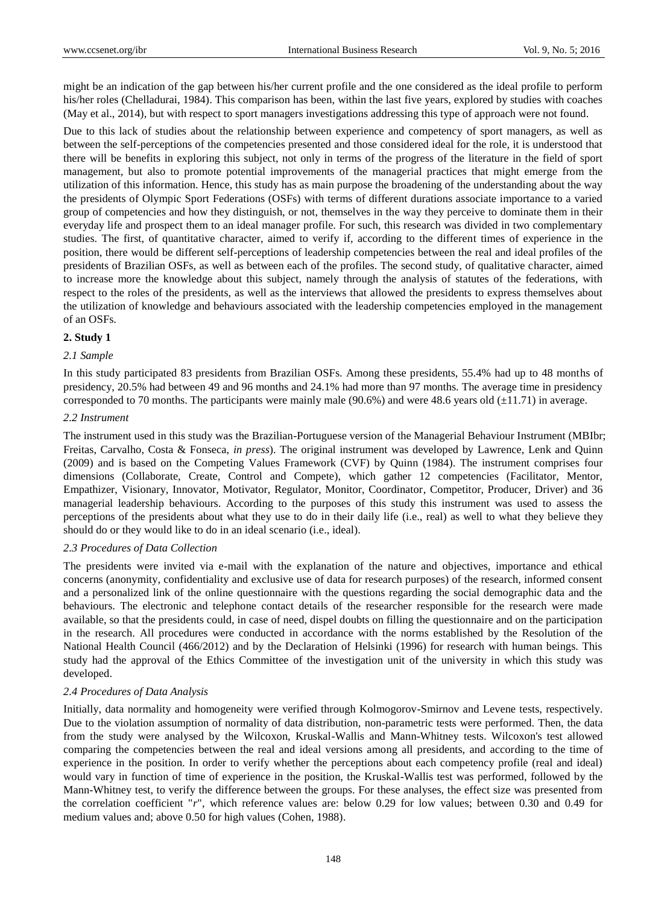might be an indication of the gap between his/her current profile and the one considered as the ideal profile to perform his/her roles (Chelladurai, 1984). This comparison has been, within the last five years, explored by studies with coaches (May et al., 2014), but with respect to sport managers investigations addressing this type of approach were not found.

Due to this lack of studies about the relationship between experience and competency of sport managers, as well as between the self-perceptions of the competencies presented and those considered ideal for the role, it is understood that there will be benefits in exploring this subject, not only in terms of the progress of the literature in the field of sport management, but also to promote potential improvements of the managerial practices that might emerge from the utilization of this information. Hence, this study has as main purpose the broadening of the understanding about the way the presidents of Olympic Sport Federations (OSFs) with terms of different durations associate importance to a varied group of competencies and how they distinguish, or not, themselves in the way they perceive to dominate them in their everyday life and prospect them to an ideal manager profile. For such, this research was divided in two complementary studies. The first, of quantitative character, aimed to verify if, according to the different times of experience in the position, there would be different self-perceptions of leadership competencies between the real and ideal profiles of the presidents of Brazilian OSFs, as well as between each of the profiles. The second study, of qualitative character, aimed to increase more the knowledge about this subject, namely through the analysis of statutes of the federations, with respect to the roles of the presidents, as well as the interviews that allowed the presidents to express themselves about the utilization of knowledge and behaviours associated with the leadership competencies employed in the management of an OSFs.

# **2. Study 1**

# *2.1 Sample*

In this study participated 83 presidents from Brazilian OSFs. Among these presidents, 55.4% had up to 48 months of presidency, 20.5% had between 49 and 96 months and 24.1% had more than 97 months. The average time in presidency corresponded to 70 months. The participants were mainly male  $(90.6%)$  and were 48.6 years old ( $\pm$ 1.71) in average.

## *2.2 Instrument*

The instrument used in this study was the Brazilian-Portuguese version of the Managerial Behaviour Instrument (MBIbr; Freitas, Carvalho, Costa & Fonseca, *in press*). The original instrument was developed by Lawrence, Lenk and Quinn (2009) and is based on the Competing Values Framework (CVF) by Quinn (1984). The instrument comprises four dimensions (Collaborate, Create, Control and Compete), which gather 12 competencies (Facilitator, Mentor, Empathizer, Visionary, Innovator, Motivator, Regulator, Monitor, Coordinator, Competitor, Producer, Driver) and 36 managerial leadership behaviours. According to the purposes of this study this instrument was used to assess the perceptions of the presidents about what they use to do in their daily life (i.e., real) as well to what they believe they should do or they would like to do in an ideal scenario (i.e., ideal).

# *2.3 Procedures of Data Collection*

The presidents were invited via e-mail with the explanation of the nature and objectives, importance and ethical concerns (anonymity, confidentiality and exclusive use of data for research purposes) of the research, informed consent and a personalized link of the online questionnaire with the questions regarding the social demographic data and the behaviours. The electronic and telephone contact details of the researcher responsible for the research were made available, so that the presidents could, in case of need, dispel doubts on filling the questionnaire and on the participation in the research. All procedures were conducted in accordance with the norms established by the Resolution of the National Health Council (466/2012) and by the Declaration of Helsinki (1996) for research with human beings. This study had the approval of the Ethics Committee of the investigation unit of the university in which this study was developed.

# *2.4 Procedures of Data Analysis*

Initially, data normality and homogeneity were verified through Kolmogorov-Smirnov and Levene tests, respectively. Due to the violation assumption of normality of data distribution, non-parametric tests were performed. Then, the data from the study were analysed by the Wilcoxon, Kruskal-Wallis and Mann-Whitney tests. Wilcoxon's test allowed comparing the competencies between the real and ideal versions among all presidents, and according to the time of experience in the position. In order to verify whether the perceptions about each competency profile (real and ideal) would vary in function of time of experience in the position, the Kruskal-Wallis test was performed, followed by the Mann-Whitney test, to verify the difference between the groups. For these analyses, the effect size was presented from the correlation coefficient "*r*", which reference values are: below 0.29 for low values; between 0.30 and 0.49 for medium values and; above 0.50 for high values (Cohen, 1988).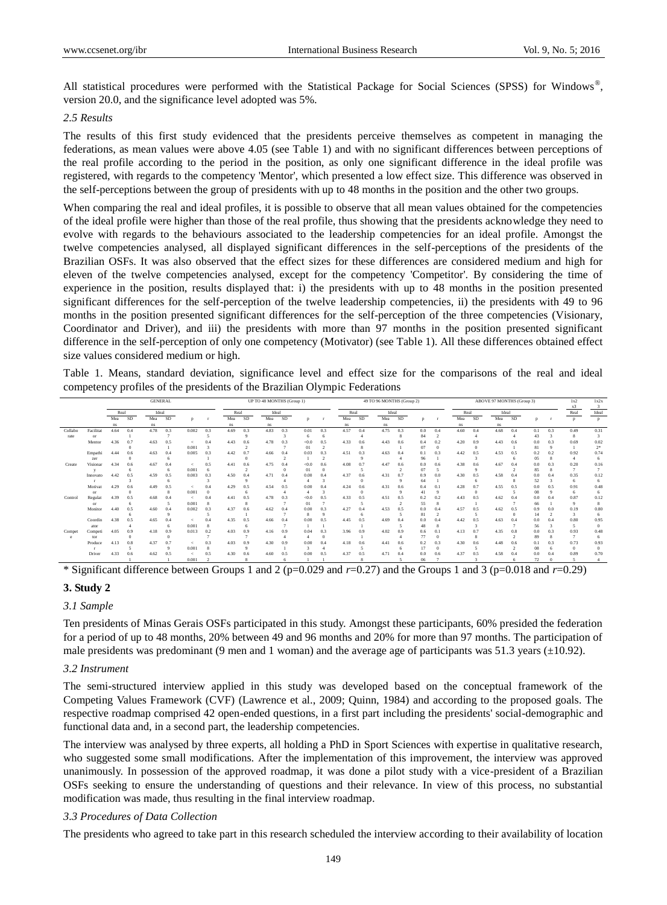All statistical procedures were performed with the Statistical Package for Social Sciences (SPSS) for Windows®, version 20.0, and the significance level adopted was 5%.

# *2.5 Results*

The results of this first study evidenced that the presidents perceive themselves as competent in managing the federations, as mean values were above 4.05 (see Table 1) and with no significant differences between perceptions of the real profile according to the period in the position, as only one significant difference in the ideal profile was registered, with regards to the competency 'Mentor', which presented a low effect size. This difference was observed in the self-perceptions between the group of presidents with up to 48 months in the position and the other two groups.

When comparing the real and ideal profiles, it is possible to observe that all mean values obtained for the competencies of the ideal profile were higher than those of the real profile, thus showing that the presidents acknowledge they need to evolve with regards to the behaviours associated to the leadership competencies for an ideal profile. Amongst the twelve competencies analysed, all displayed significant differences in the self-perceptions of the presidents of the Brazilian OSFs. It was also observed that the effect sizes for these differences are considered medium and high for eleven of the twelve competencies analysed, except for the competency 'Competitor'. By considering the time of experience in the position, results displayed that: i) the presidents with up to 48 months in the position presented significant differences for the self-perception of the twelve leadership competencies, ii) the presidents with 49 to 96 months in the position presented significant differences for the self-perception of the three competencies (Visionary, Coordinator and Driver), and iii) the presidents with more than 97 months in the position presented significant difference in the self-perception of only one competency (Motivator) (see Table 1). All these differences obtained effect size values considered medium or high.

Table 1. Means, standard deviation, significance level and effect size for the comparisons of the real and ideal competency profiles of the presidents of the Brazilian Olympic Federations

|         |            | <b>GENERAL</b>   |     |           |     |       |                 | UP TO 48 MONTHS (Group 1) |                          |       |     |       |          |           | 49 TO 96 MONTHS (Group 2) |       |              |     |     |           |     | ABOVE 97 MONTHS (Group 3) |     |     |     |          |             |  |
|---------|------------|------------------|-----|-----------|-----|-------|-----------------|---------------------------|--------------------------|-------|-----|-------|----------|-----------|---------------------------|-------|--------------|-----|-----|-----------|-----|---------------------------|-----|-----|-----|----------|-------------|--|
|         |            | Real             |     | Ideal     |     |       |                 |                           | Real<br><b>SD</b><br>Mea | Ideal |     |       |          | Real      |                           | Ideal |              |     |     | Real      |     | Ideal                     |     |     |     | Real     | Ideal       |  |
|         |            | <b>SD</b><br>Mea | Mea | <b>SD</b> |     |       |                 | Mea                       |                          | SD    | n   | Mea   |          | <b>SD</b> | Mea                       | SD    | $\mathbf{r}$ |     | Mea | SD        | Mea | SD                        | D   |     | P   |          |             |  |
|         |            | ns.              |     | <b>ns</b> |     |       |                 | <b>ns</b>                 |                          | ns    |     |       |          | ns        |                           | ns.   |              |     |     | <b>ns</b> |     | ns                        |     |     |     |          |             |  |
| Collabo | Facilita   | 4.64             | 0.4 | 4.78      | 0.3 | 0.002 | 0.3             | 4.69                      | 0.3                      | 4.83  | 0.3 | 0.01  | 0.3      | 4.57      | 0.4                       | 4.75  | 0.3          | 0.0 | 0.4 | 4.60      | 0.4 | 4.68                      | 0.4 | 0.1 | 0.3 | 0.49     | 0.31        |  |
| rate    | OI         |                  |     |           |     |       |                 |                           |                          |       |     | 6     | 6        |           |                           |       |              | 84  |     |           |     |                           |     | 43  |     | 8        |             |  |
|         | Mentor     | 4.36             | 0.7 | 4.63      | 0.5 | e     | 0.4             | 4.43                      | 0.6                      | 4.78  | 0.3 | < 0.0 | 0.5      | 4.33      | 0.6                       | 4.43  | 0.6          | 0.4 | 0.2 | 4.20      | 0.9 | 4.43                      | 0.6 | 0.0 | 0.3 | 0.69     | 0.02        |  |
|         |            |                  |     |           |     | 0.00  |                 |                           |                          |       |     | 01    |          |           |                           |       |              | 07  |     |           |     |                           |     | 81  |     |          | $2^{\circ}$ |  |
|         | Empathi    | 4.44             | 0.6 | 4.63      | 0.4 | 0.005 | 0.3             | 4.42                      | 0.7                      | 4.66  | 0.4 | 0.03  | 0.3      | 4.51      | 0.3                       | 4.63  | 0.4          | 0.1 | 0.3 | 4.42      | 0.5 | 4.53                      | 0.5 | 0.2 | 0.2 | 0.92     | 0.74        |  |
|         | zer        |                  |     |           |     |       |                 |                           |                          |       |     |       |          |           |                           |       |              | 96  |     |           |     |                           |     | 05  |     |          |             |  |
| Create  | Visional   | 4.34             | 0.6 | 4.67      | 0.4 | e.    | 0.5             | 4.41                      | 0.6                      | 4.75  | 0.4 | < 0.0 | 0.6      | 4.08      | 0.7                       | 4.47  | 0.6          | 0.0 | 0.6 | 4.38      | 0.6 | 4.67                      | 0.4 | 0.0 | 0.3 | 0.20     | 0.16        |  |
|         |            |                  |     |           | n   | 0.00  | 6               |                           |                          |       |     | 01    | $\Omega$ |           |                           |       |              | 07  |     |           |     |                           |     | 85  |     |          |             |  |
|         | Innovato   | 4.42             | 0.5 | 4.59      | 0.5 | 0.003 | 0.3             | 4.50                      | 0.4                      | 4.71  | 0.4 | 0.00  | 0.4      | 4.37      | 0.6                       | 4.31  | 0.7          | 0.9 | 0.0 | 4.30      | 0.5 | 4.58                      | 0.4 | 0.0 | 0.4 | 0.35     | 0.12        |  |
|         |            |                  |     |           |     |       |                 |                           |                          |       |     |       |          |           |                           |       |              | 64  |     |           |     |                           |     | 52  |     | 6        |             |  |
|         | Motivat    | 4.29             | 0.6 | 4.49      | 0.5 | e     | 0.4             | 4.29                      | 0.5                      | 4.54  | 0.5 | 0.00  | 0.4      | 4.24      | 0.6                       | 4.31  | 0.6          | 0.4 | 0.1 | 4.28      | 0.7 | 4.55                      | 0.5 | 0.0 | 0.5 | 0.91     | 0.48        |  |
|         | or         |                  |     |           | 8   | 0.001 |                 |                           |                          |       |     |       |          |           |                           |       |              | 41  |     |           |     |                           |     | 08  |     | 6        |             |  |
| Control | Regulat    | 4.39             | 0.5 | 4.68      | 0.4 | ×.    | 0.4             | 4.41                      | 0.5                      | 4.78  | 0.3 | < 0.0 | 0.5      | 4.33      | 0.5                       | 4.51  | 0.5          | 0.2 | 0.2 | 4.43      | 0.5 | 4.62                      | 0.4 | 0.0 | 0.4 | 0.87     | 0.12        |  |
|         | $^{\circ}$ |                  |     |           |     | 0.00  | 8               |                           |                          |       |     | 01    |          |           |                           |       |              | 55  |     |           |     |                           |     | 66  |     | 9        | 8           |  |
|         | Monitor    | 4.40             | 0.5 | 4.60      | 0.4 | 0.002 | 0.3             | 4.37                      | 0.6                      | 4.62  | 0.4 | 0.00  | 0.3      | 4.27      | 0.4                       | 4.53  | 0.5          | 0.0 | 0.4 | 4.57      | 0.5 | 4.62                      | 0.5 | 0.9 | 0.0 | 0.19     | 0.80        |  |
|         |            |                  |     |           |     |       |                 |                           |                          |       |     | 8     |          |           | $\ddot{\phantom{1}}$      |       |              | 81  |     |           |     |                           | £.  | 14  |     | 3        |             |  |
|         | Coordin    | 4.38             | 0.5 | 4.65      | 0.4 | e     | 0.4             | 4.35                      | 0.5                      | 4.66  | 0.4 | 0.00  | 0.5      | 4.45      | 0.5                       | 4.69  | 0.4          | 0.0 | 0.4 | 4.42      | 0.5 | 4.63                      | 0.4 | 0.0 | 0.4 | 0.80     | 0.95        |  |
|         | ator       |                  |     |           | 6   | 0.001 | 8               |                           |                          |       |     |       |          |           |                           |       |              | 48  |     |           |     |                           |     | 56  |     | -5       |             |  |
| Compet  | Competi    | 4.05             | 0.9 | 4.18      | 0.9 | 0.013 | 0.2             | 4.03                      | 0.9                      | 4.16  | 0.9 | 0.04  | 0.3      | 3.96      | 0.9                       | 4.02  | 0.9          | 0.6 | 0.1 | 4.13      | 0.7 | 4.35                      | 0.8 | 0.0 | 0.3 | 0.93     | 0.48        |  |
|         | tor        |                  |     |           |     |       |                 |                           |                          |       |     |       |          |           |                           |       |              | 77  |     |           |     |                           |     | 89  |     |          |             |  |
|         | Produce    | 4.13             | 0.8 | 4.37      | 0.7 | e     | 0.3             | 4.03                      | 0.9                      | 4.30  | 0.9 | 0.00  | 0.4      | 4.18      | 0.6                       | 4.41  | 0.6          | 0.2 | 0.3 | 4.30      | 0.6 | 4.48                      | 0.6 | 0.1 | 0.3 | 0.73     | 0.93        |  |
|         |            |                  |     |           |     | 0.001 |                 |                           |                          |       |     |       |          |           |                           |       |              | 17  |     |           |     |                           |     | 08  |     | $\theta$ |             |  |
|         | Driver     | 4.33             | 0.6 | 4.62      | 0.5 | e     | 0.5<br><b>D</b> | 4.30                      | 0.6                      | 4.60  | 0.5 | 0.00  | 0.5      | 4.37      | 0.5                       | 4.71  | 0.4          | 0.0 | 0.6 | 4.37      | 0.5 | 4.58                      | 0.4 | 0.0 | 0.4 | 0.89     | 0.70        |  |
|         |            |                  |     |           |     | 0.001 |                 |                           |                          |       |     |       |          |           |                           |       |              | 06  |     |           |     |                           |     | 72  |     |          |             |  |

\* Significant difference between Groups 1 and 2 (p=0.029 and *r*=0.27) and the Groups 1 and 3 (p=0.018 and *r*=0.29)

# **3. Study 2**

# *3.1 Sample*

Ten presidents of Minas Gerais OSFs participated in this study. Amongst these participants, 60% presided the federation for a period of up to 48 months, 20% between 49 and 96 months and 20% for more than 97 months. The participation of male presidents was predominant (9 men and 1 woman) and the average age of participants was 51.3 years ( $\pm$ 10.92).

## *3.2 Instrument*

The semi-structured interview applied in this study was developed based on the conceptual framework of the Competing Values Framework (CVF) (Lawrence et al., 2009; Quinn, 1984) and according to the proposed goals. The respective roadmap comprised 42 open-ended questions, in a first part including the presidents' social-demographic and functional data and, in a second part, the leadership competencies.

The interview was analysed by three experts, all holding a PhD in Sport Sciences with expertise in qualitative research, who suggested some small modifications. After the implementation of this improvement, the interview was approved unanimously. In possession of the approved roadmap, it was done a pilot study with a vice-president of a Brazilian OSFs seeking to ensure the understanding of questions and their relevance. In view of this process, no substantial modification was made, thus resulting in the final interview roadmap.

## *3.3 Procedures of Data Collection*

The presidents who agreed to take part in this research scheduled the interview according to their availability of location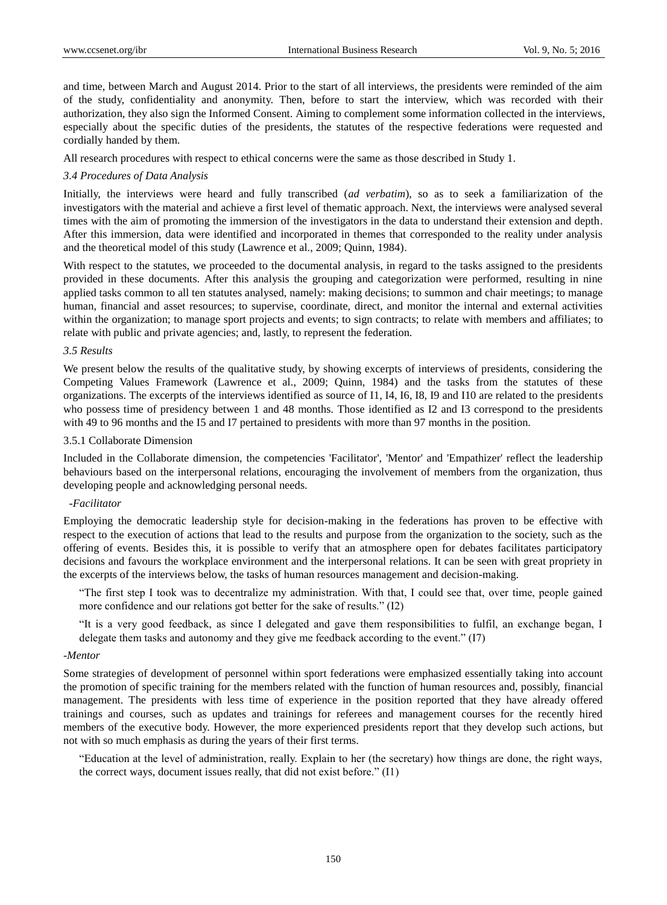and time, between March and August 2014. Prior to the start of all interviews, the presidents were reminded of the aim of the study, confidentiality and anonymity. Then, before to start the interview, which was recorded with their authorization, they also sign the Informed Consent. Aiming to complement some information collected in the interviews, especially about the specific duties of the presidents, the statutes of the respective federations were requested and cordially handed by them.

All research procedures with respect to ethical concerns were the same as those described in Study 1.

# *3.4 Procedures of Data Analysis*

Initially, the interviews were heard and fully transcribed (*ad verbatim*), so as to seek a familiarization of the investigators with the material and achieve a first level of thematic approach. Next, the interviews were analysed several times with the aim of promoting the immersion of the investigators in the data to understand their extension and depth. After this immersion, data were identified and incorporated in themes that corresponded to the reality under analysis and the theoretical model of this study (Lawrence et al., 2009; Quinn, 1984).

With respect to the statutes, we proceeded to the documental analysis, in regard to the tasks assigned to the presidents provided in these documents. After this analysis the grouping and categorization were performed, resulting in nine applied tasks common to all ten statutes analysed, namely: making decisions; to summon and chair meetings; to manage human, financial and asset resources; to supervise, coordinate, direct, and monitor the internal and external activities within the organization; to manage sport projects and events; to sign contracts; to relate with members and affiliates; to relate with public and private agencies; and, lastly, to represent the federation.

## *3.5 Results*

We present below the results of the qualitative study, by showing excerpts of interviews of presidents, considering the Competing Values Framework (Lawrence et al., 2009; Quinn, 1984) and the tasks from the statutes of these organizations. The excerpts of the interviews identified as source of I1, I4, I6, I8, I9 and I10 are related to the presidents who possess time of presidency between 1 and 48 months. Those identified as I2 and I3 correspond to the presidents with 49 to 96 months and the I5 and I7 pertained to presidents with more than 97 months in the position.

# 3.5.1 Collaborate Dimension

Included in the Collaborate dimension, the competencies 'Facilitator', 'Mentor' and 'Empathizer' reflect the leadership behaviours based on the interpersonal relations, encouraging the involvement of members from the organization, thus developing people and acknowledging personal needs.

## *-Facilitator*

Employing the democratic leadership style for decision-making in the federations has proven to be effective with respect to the execution of actions that lead to the results and purpose from the organization to the society, such as the offering of events. Besides this, it is possible to verify that an atmosphere open for debates facilitates participatory decisions and favours the workplace environment and the interpersonal relations. It can be seen with great propriety in the excerpts of the interviews below, the tasks of human resources management and decision-making.

"The first step I took was to decentralize my administration. With that, I could see that, over time, people gained more confidence and our relations got better for the sake of results." (I2)

"It is a very good feedback, as since I delegated and gave them responsibilities to fulfil, an exchange began, I delegate them tasks and autonomy and they give me feedback according to the event." (I7)

# -*Mentor*

Some strategies of development of personnel within sport federations were emphasized essentially taking into account the promotion of specific training for the members related with the function of human resources and, possibly, financial management. The presidents with less time of experience in the position reported that they have already offered trainings and courses, such as updates and trainings for referees and management courses for the recently hired members of the executive body. However, the more experienced presidents report that they develop such actions, but not with so much emphasis as during the years of their first terms.

"Education at the level of administration, really. Explain to her (the secretary) how things are done, the right ways, the correct ways, document issues really, that did not exist before." (I1)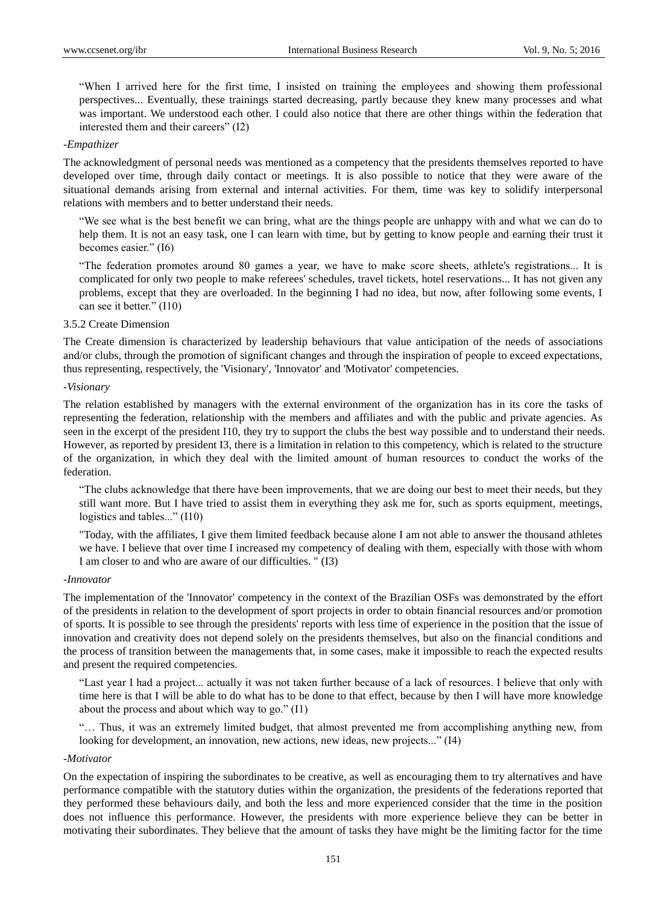"When I arrived here for the first time, I insisted on training the employees and showing them professional perspectives... Eventually, these trainings started decreasing, partly because they knew many processes and what was important. We understood each other. I could also notice that there are other things within the federation that interested them and their careers" (I2)

## *-Empathizer*

The acknowledgment of personal needs was mentioned as a competency that the presidents themselves reported to have developed over time, through daily contact or meetings. It is also possible to notice that they were aware of the situational demands arising from external and internal activities. For them, time was key to solidify interpersonal relations with members and to better understand their needs.

"We see what is the best benefit we can bring, what are the things people are unhappy with and what we can do to help them. It is not an easy task, one I can learn with time, but by getting to know people and earning their trust it becomes easier." (I6)

"The federation promotes around 80 games a year, we have to make score sheets, athlete's registrations... It is complicated for only two people to make referees' schedules, travel tickets, hotel reservations... It has not given any problems, except that they are overloaded. In the beginning I had no idea, but now, after following some events, I can see it better." (I10)

# 3.5.2 Create Dimension

The Create dimension is characterized by leadership behaviours that value anticipation of the needs of associations and/or clubs, through the promotion of significant changes and through the inspiration of people to exceed expectations, thus representing, respectively, the 'Visionary', 'Innovator' and 'Motivator' competencies.

#### *-Visionary*

The relation established by managers with the external environment of the organization has in its core the tasks of representing the federation, relationship with the members and affiliates and with the public and private agencies. As seen in the excerpt of the president I10, they try to support the clubs the best way possible and to understand their needs. However, as reported by president I3, there is a limitation in relation to this competency, which is related to the structure of the organization, in which they deal with the limited amount of human resources to conduct the works of the federation.

"The clubs acknowledge that there have been improvements, that we are doing our best to meet their needs, but they still want more. But I have tried to assist them in everything they ask me for, such as sports equipment, meetings, logistics and tables..." (I10)

"Today, with the affiliates, I give them limited feedback because alone I am not able to answer the thousand athletes we have. I believe that over time I increased my competency of dealing with them, especially with those with whom I am closer to and who are aware of our difficulties. " (I3)

#### *-Innovator*

The implementation of the 'Innovator' competency in the context of the Brazilian OSFs was demonstrated by the effort of the presidents in relation to the development of sport projects in order to obtain financial resources and/or promotion of sports. It is possible to see through the presidents' reports with less time of experience in the position that the issue of innovation and creativity does not depend solely on the presidents themselves, but also on the financial conditions and the process of transition between the managements that, in some cases, make it impossible to reach the expected results and present the required competencies.

"Last year I had a project... actually it was not taken further because of a lack of resources. I believe that only with time here is that I will be able to do what has to be done to that effect, because by then I will have more knowledge about the process and about which way to go." (I1)

"… Thus, it was an extremely limited budget, that almost prevented me from accomplishing anything new, from looking for development, an innovation, new actions, new ideas, new projects..." (I4)

#### -*Motivator*

On the expectation of inspiring the subordinates to be creative, as well as encouraging them to try alternatives and have performance compatible with the statutory duties within the organization, the presidents of the federations reported that they performed these behaviours daily, and both the less and more experienced consider that the time in the position does not influence this performance. However, the presidents with more experience believe they can be better in motivating their subordinates. They believe that the amount of tasks they have might be the limiting factor for the time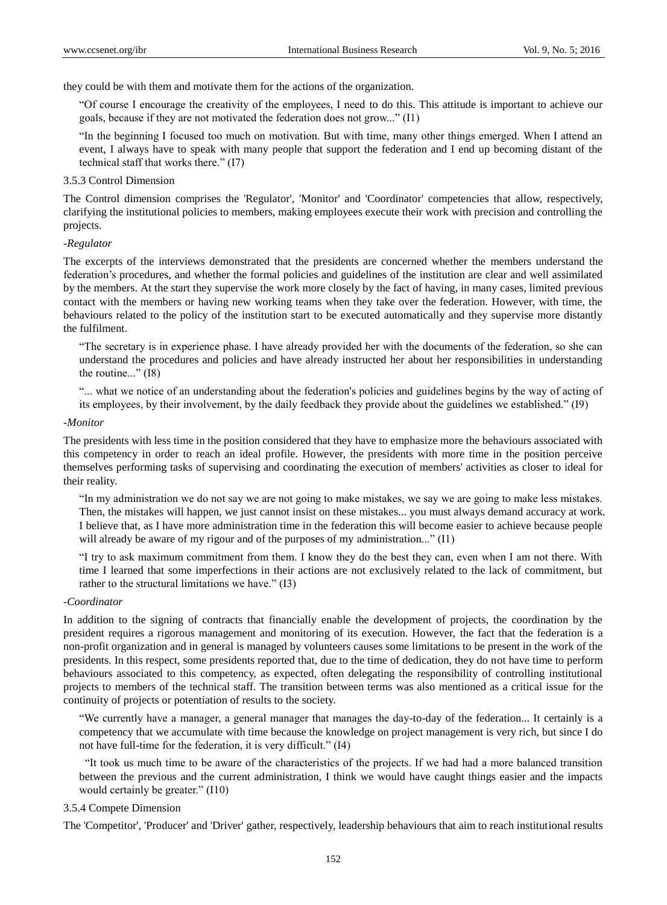they could be with them and motivate them for the actions of the organization.

"Of course I encourage the creativity of the employees, I need to do this. This attitude is important to achieve our goals, because if they are not motivated the federation does not grow..." (I1)

"In the beginning I focused too much on motivation. But with time, many other things emerged. When I attend an event, I always have to speak with many people that support the federation and I end up becoming distant of the technical staff that works there." (I7)

# 3.5.3 Control Dimension

The Control dimension comprises the 'Regulator', 'Monitor' and 'Coordinator' competencies that allow, respectively, clarifying the institutional policies to members, making employees execute their work with precision and controlling the projects.

# *-Regulator*

The excerpts of the interviews demonstrated that the presidents are concerned whether the members understand the federation's procedures, and whether the formal policies and guidelines of the institution are clear and well assimilated by the members. At the start they supervise the work more closely by the fact of having, in many cases, limited previous contact with the members or having new working teams when they take over the federation. However, with time, the behaviours related to the policy of the institution start to be executed automatically and they supervise more distantly the fulfilment.

"The secretary is in experience phase. I have already provided her with the documents of the federation, so she can understand the procedures and policies and have already instructed her about her responsibilities in understanding the routine..." (I8)

"... what we notice of an understanding about the federation's policies and guidelines begins by the way of acting of its employees, by their involvement, by the daily feedback they provide about the guidelines we established." (I9)

## *-Monitor*

The presidents with less time in the position considered that they have to emphasize more the behaviours associated with this competency in order to reach an ideal profile. However, the presidents with more time in the position perceive themselves performing tasks of supervising and coordinating the execution of members' activities as closer to ideal for their reality.

"In my administration we do not say we are not going to make mistakes, we say we are going to make less mistakes. Then, the mistakes will happen, we just cannot insist on these mistakes... you must always demand accuracy at work. I believe that, as I have more administration time in the federation this will become easier to achieve because people will already be aware of my rigour and of the purposes of my administration..." (I1)

"I try to ask maximum commitment from them. I know they do the best they can, even when I am not there. With time I learned that some imperfections in their actions are not exclusively related to the lack of commitment, but rather to the structural limitations we have." (I3)

# *-Coordinator*

In addition to the signing of contracts that financially enable the development of projects, the coordination by the president requires a rigorous management and monitoring of its execution. However, the fact that the federation is a non-profit organization and in general is managed by volunteers causes some limitations to be present in the work of the presidents. In this respect, some presidents reported that, due to the time of dedication, they do not have time to perform behaviours associated to this competency, as expected, often delegating the responsibility of controlling institutional projects to members of the technical staff. The transition between terms was also mentioned as a critical issue for the continuity of projects or potentiation of results to the society.

"We currently have a manager, a general manager that manages the day-to-day of the federation... It certainly is a competency that we accumulate with time because the knowledge on project management is very rich, but since I do not have full-time for the federation, it is very difficult." (I4)

"It took us much time to be aware of the characteristics of the projects. If we had had a more balanced transition between the previous and the current administration, I think we would have caught things easier and the impacts would certainly be greater." (I10)

# 3.5.4 Compete Dimension

The 'Competitor', 'Producer' and 'Driver' gather, respectively, leadership behaviours that aim to reach institutional results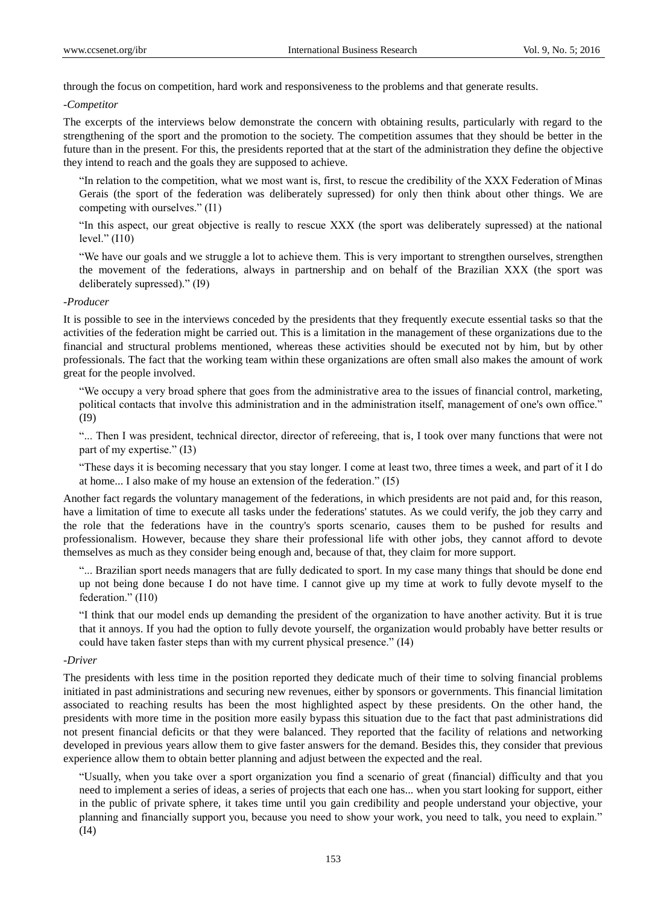through the focus on competition, hard work and responsiveness to the problems and that generate results.

#### *-Competitor*

The excerpts of the interviews below demonstrate the concern with obtaining results, particularly with regard to the strengthening of the sport and the promotion to the society. The competition assumes that they should be better in the future than in the present. For this, the presidents reported that at the start of the administration they define the objective they intend to reach and the goals they are supposed to achieve.

"In relation to the competition, what we most want is, first, to rescue the credibility of the XXX Federation of Minas Gerais (the sport of the federation was deliberately supressed) for only then think about other things. We are competing with ourselves." (I1)

"In this aspect, our great objective is really to rescue XXX (the sport was deliberately supressed) at the national level." (I10)

"We have our goals and we struggle a lot to achieve them. This is very important to strengthen ourselves, strengthen the movement of the federations, always in partnership and on behalf of the Brazilian XXX (the sport was deliberately supressed)." (I9)

# *-Producer*

It is possible to see in the interviews conceded by the presidents that they frequently execute essential tasks so that the activities of the federation might be carried out. This is a limitation in the management of these organizations due to the financial and structural problems mentioned, whereas these activities should be executed not by him, but by other professionals. The fact that the working team within these organizations are often small also makes the amount of work great for the people involved.

"We occupy a very broad sphere that goes from the administrative area to the issues of financial control, marketing, political contacts that involve this administration and in the administration itself, management of one's own office." (I9)

"... Then I was president, technical director, director of refereeing, that is, I took over many functions that were not part of my expertise." (I3)

"These days it is becoming necessary that you stay longer. I come at least two, three times a week, and part of it I do at home... I also make of my house an extension of the federation." (I5)

Another fact regards the voluntary management of the federations, in which presidents are not paid and, for this reason, have a limitation of time to execute all tasks under the federations' statutes. As we could verify, the job they carry and the role that the federations have in the country's sports scenario, causes them to be pushed for results and professionalism. However, because they share their professional life with other jobs, they cannot afford to devote themselves as much as they consider being enough and, because of that, they claim for more support.

"... Brazilian sport needs managers that are fully dedicated to sport. In my case many things that should be done end up not being done because I do not have time. I cannot give up my time at work to fully devote myself to the federation." (I10)

"I think that our model ends up demanding the president of the organization to have another activity. But it is true that it annoys. If you had the option to fully devote yourself, the organization would probably have better results or could have taken faster steps than with my current physical presence." (I4)

## *-Driver*

The presidents with less time in the position reported they dedicate much of their time to solving financial problems initiated in past administrations and securing new revenues, either by sponsors or governments. This financial limitation associated to reaching results has been the most highlighted aspect by these presidents. On the other hand, the presidents with more time in the position more easily bypass this situation due to the fact that past administrations did not present financial deficits or that they were balanced. They reported that the facility of relations and networking developed in previous years allow them to give faster answers for the demand. Besides this, they consider that previous experience allow them to obtain better planning and adjust between the expected and the real.

"Usually, when you take over a sport organization you find a scenario of great (financial) difficulty and that you need to implement a series of ideas, a series of projects that each one has... when you start looking for support, either in the public of private sphere, it takes time until you gain credibility and people understand your objective, your planning and financially support you, because you need to show your work, you need to talk, you need to explain." (I4)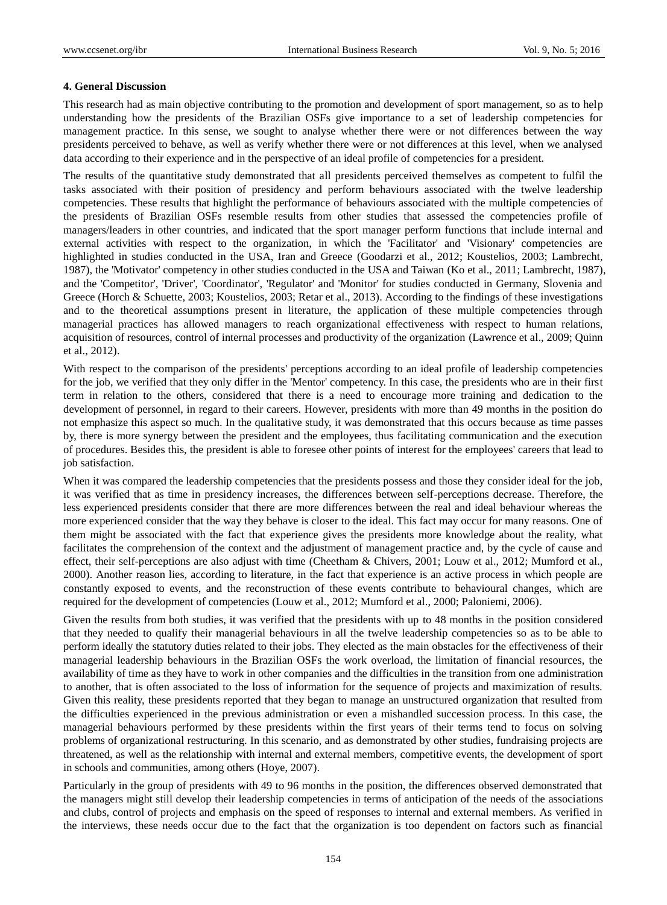## **4. General Discussion**

This research had as main objective contributing to the promotion and development of sport management, so as to help understanding how the presidents of the Brazilian OSFs give importance to a set of leadership competencies for management practice. In this sense, we sought to analyse whether there were or not differences between the way presidents perceived to behave, as well as verify whether there were or not differences at this level, when we analysed data according to their experience and in the perspective of an ideal profile of competencies for a president.

The results of the quantitative study demonstrated that all presidents perceived themselves as competent to fulfil the tasks associated with their position of presidency and perform behaviours associated with the twelve leadership competencies. These results that highlight the performance of behaviours associated with the multiple competencies of the presidents of Brazilian OSFs resemble results from other studies that assessed the competencies profile of managers/leaders in other countries, and indicated that the sport manager perform functions that include internal and external activities with respect to the organization, in which the 'Facilitator' and 'Visionary' competencies are highlighted in studies conducted in the USA, Iran and Greece (Goodarzi et al., 2012; Koustelios, 2003; Lambrecht, 1987), the 'Motivator' competency in other studies conducted in the USA and Taiwan (Ko et al., 2011; Lambrecht, 1987), and the 'Competitor', 'Driver', 'Coordinator', 'Regulator' and 'Monitor' for studies conducted in Germany, Slovenia and Greece (Horch & Schuette, 2003; Koustelios, 2003; Retar et al., 2013). According to the findings of these investigations and to the theoretical assumptions present in literature, the application of these multiple competencies through managerial practices has allowed managers to reach organizational effectiveness with respect to human relations, acquisition of resources, control of internal processes and productivity of the organization (Lawrence et al., 2009; Quinn et al., 2012).

With respect to the comparison of the presidents' perceptions according to an ideal profile of leadership competencies for the job, we verified that they only differ in the 'Mentor' competency. In this case, the presidents who are in their first term in relation to the others, considered that there is a need to encourage more training and dedication to the development of personnel, in regard to their careers. However, presidents with more than 49 months in the position do not emphasize this aspect so much. In the qualitative study, it was demonstrated that this occurs because as time passes by, there is more synergy between the president and the employees, thus facilitating communication and the execution of procedures. Besides this, the president is able to foresee other points of interest for the employees' careers that lead to job satisfaction.

When it was compared the leadership competencies that the presidents possess and those they consider ideal for the job, it was verified that as time in presidency increases, the differences between self-perceptions decrease. Therefore, the less experienced presidents consider that there are more differences between the real and ideal behaviour whereas the more experienced consider that the way they behave is closer to the ideal. This fact may occur for many reasons. One of them might be associated with the fact that experience gives the presidents more knowledge about the reality, what facilitates the comprehension of the context and the adjustment of management practice and, by the cycle of cause and effect, their self-perceptions are also adjust with time (Cheetham & Chivers, 2001; Louw et al., 2012; Mumford et al., 2000). Another reason lies, according to literature, in the fact that experience is an active process in which people are constantly exposed to events, and the reconstruction of these events contribute to behavioural changes, which are required for the development of competencies (Louw et al., 2012; Mumford et al., 2000; Paloniemi, 2006).

Given the results from both studies, it was verified that the presidents with up to 48 months in the position considered that they needed to qualify their managerial behaviours in all the twelve leadership competencies so as to be able to perform ideally the statutory duties related to their jobs. They elected as the main obstacles for the effectiveness of their managerial leadership behaviours in the Brazilian OSFs the work overload, the limitation of financial resources, the availability of time as they have to work in other companies and the difficulties in the transition from one administration to another, that is often associated to the loss of information for the sequence of projects and maximization of results. Given this reality, these presidents reported that they began to manage an unstructured organization that resulted from the difficulties experienced in the previous administration or even a mishandled succession process. In this case, the managerial behaviours performed by these presidents within the first years of their terms tend to focus on solving problems of organizational restructuring. In this scenario, and as demonstrated by other studies, fundraising projects are threatened, as well as the relationship with internal and external members, competitive events, the development of sport in schools and communities, among others (Hoye, 2007).

Particularly in the group of presidents with 49 to 96 months in the position, the differences observed demonstrated that the managers might still develop their leadership competencies in terms of anticipation of the needs of the associations and clubs, control of projects and emphasis on the speed of responses to internal and external members. As verified in the interviews, these needs occur due to the fact that the organization is too dependent on factors such as financial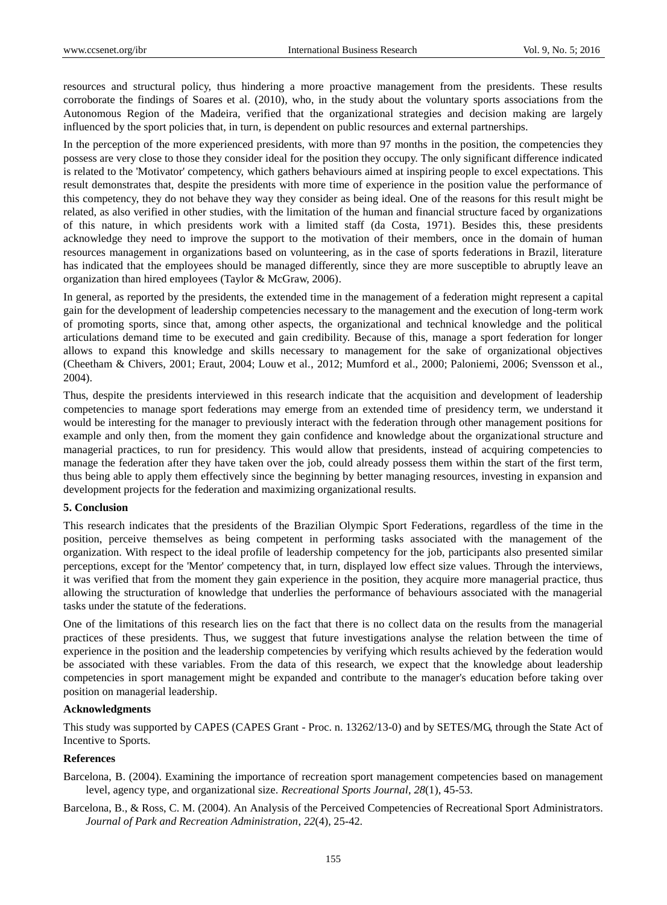resources and structural policy, thus hindering a more proactive management from the presidents. These results corroborate the findings of Soares et al. (2010), who, in the study about the voluntary sports associations from the Autonomous Region of the Madeira, verified that the organizational strategies and decision making are largely influenced by the sport policies that, in turn, is dependent on public resources and external partnerships.

In the perception of the more experienced presidents, with more than 97 months in the position, the competencies they possess are very close to those they consider ideal for the position they occupy. The only significant difference indicated is related to the 'Motivator' competency, which gathers behaviours aimed at inspiring people to excel expectations. This result demonstrates that, despite the presidents with more time of experience in the position value the performance of this competency, they do not behave they way they consider as being ideal. One of the reasons for this result might be related, as also verified in other studies, with the limitation of the human and financial structure faced by organizations of this nature, in which presidents work with a limited staff (da Costa, 1971). Besides this, these presidents acknowledge they need to improve the support to the motivation of their members, once in the domain of human resources management in organizations based on volunteering, as in the case of sports federations in Brazil, literature has indicated that the employees should be managed differently, since they are more susceptible to abruptly leave an organization than hired employees (Taylor & McGraw, 2006).

In general, as reported by the presidents, the extended time in the management of a federation might represent a capital gain for the development of leadership competencies necessary to the management and the execution of long-term work of promoting sports, since that, among other aspects, the organizational and technical knowledge and the political articulations demand time to be executed and gain credibility. Because of this, manage a sport federation for longer allows to expand this knowledge and skills necessary to management for the sake of organizational objectives (Cheetham & Chivers, 2001; Eraut, 2004; Louw et al., 2012; Mumford et al., 2000; Paloniemi, 2006; Svensson et al., 2004).

Thus, despite the presidents interviewed in this research indicate that the acquisition and development of leadership competencies to manage sport federations may emerge from an extended time of presidency term, we understand it would be interesting for the manager to previously interact with the federation through other management positions for example and only then, from the moment they gain confidence and knowledge about the organizational structure and managerial practices, to run for presidency. This would allow that presidents, instead of acquiring competencies to manage the federation after they have taken over the job, could already possess them within the start of the first term, thus being able to apply them effectively since the beginning by better managing resources, investing in expansion and development projects for the federation and maximizing organizational results.

# **5. Conclusion**

This research indicates that the presidents of the Brazilian Olympic Sport Federations, regardless of the time in the position, perceive themselves as being competent in performing tasks associated with the management of the organization. With respect to the ideal profile of leadership competency for the job, participants also presented similar perceptions, except for the 'Mentor' competency that, in turn, displayed low effect size values. Through the interviews, it was verified that from the moment they gain experience in the position, they acquire more managerial practice, thus allowing the structuration of knowledge that underlies the performance of behaviours associated with the managerial tasks under the statute of the federations.

One of the limitations of this research lies on the fact that there is no collect data on the results from the managerial practices of these presidents. Thus, we suggest that future investigations analyse the relation between the time of experience in the position and the leadership competencies by verifying which results achieved by the federation would be associated with these variables. From the data of this research, we expect that the knowledge about leadership competencies in sport management might be expanded and contribute to the manager's education before taking over position on managerial leadership.

## **Acknowledgments**

This study was supported by CAPES (CAPES Grant - Proc. n. 13262/13-0) and by SETES/MG, through the State Act of Incentive to Sports.

#### **References**

- Barcelona, B. (2004). Examining the importance of recreation sport management competencies based on management level, agency type, and organizational size. *Recreational Sports Journal*, *28*(1), 45-53.
- Barcelona, B., & Ross, C. M. (2004). An Analysis of the Perceived Competencies of Recreational Sport Administrators. *Journal of Park and Recreation Administration*, *22*(4), 25-42.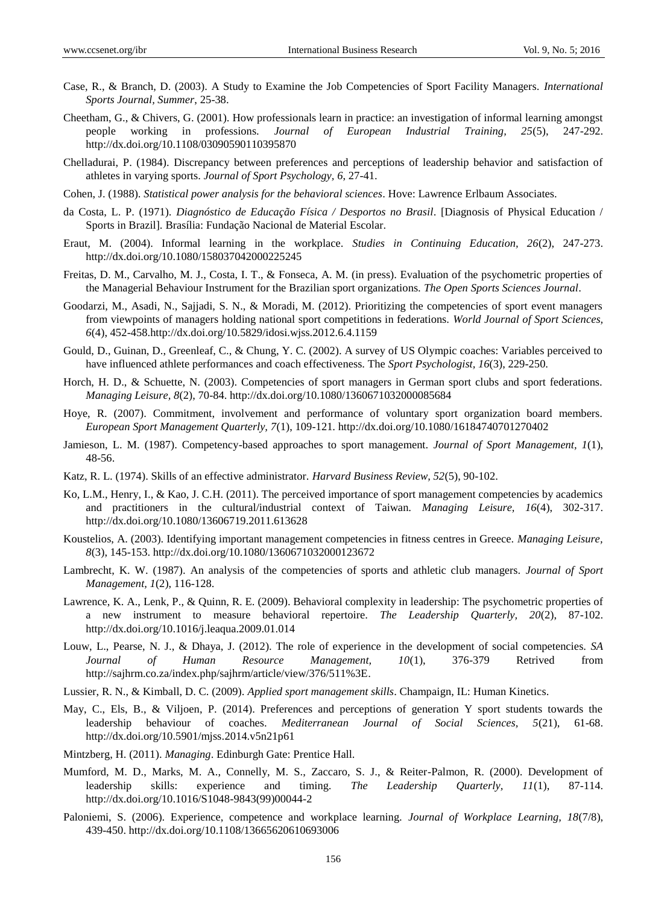- Case, R., & Branch, D. (2003). A Study to Examine the Job Competencies of Sport Facility Managers. *International Sports Journal, Summer*, 25-38.
- Cheetham, G., & Chivers, G. (2001). How professionals learn in practice: an investigation of informal learning amongst people working in professions. *Journal of European Industrial Training, 25*(5), 247-292. http://dx.doi.org/10.1108/03090590110395870
- Chelladurai, P. (1984). Discrepancy between preferences and perceptions of leadership behavior and satisfaction of athletes in varying sports. *Journal of Sport Psychology, 6*, 27-41.
- Cohen, J. (1988). *Statistical power analysis for the behavioral sciences*. Hove: Lawrence Erlbaum Associates.
- da Costa, L. P. (1971). *Diagnóstico de Educação Física / Desportos no Brasil*. [Diagnosis of Physical Education / Sports in Brazil]. Bras fia: Fundação Nacional de Material Escolar.
- Eraut, M. (2004). Informal learning in the workplace. *Studies in Continuing Education, 26*(2), 247-273. http://dx.doi.org/10.1080/158037042000225245
- Freitas, D. M., Carvalho, M. J., Costa, I. T., & Fonseca, A. M. (in press). Evaluation of the psychometric properties of the Managerial Behaviour Instrument for the Brazilian sport organizations. *The Open Sports Sciences Journal*.
- Goodarzi, M., Asadi, N., Sajjadi, S. N., & Moradi, M. (2012). Prioritizing the competencies of sport event managers from viewpoints of managers holding national sport competitions in federations. *World Journal of Sport Sciences, 6*(4), 452-458.http://dx.doi.org/10.5829/idosi.wjss.2012.6.4.1159
- Gould, D., Guinan, D., Greenleaf, C., & Chung, Y. C. (2002). A survey of US Olympic coaches: Variables perceived to have influenced athlete performances and coach effectiveness. The *Sport Psychologist, 16*(3), 229-250.
- Horch, H. D., & Schuette, N. (2003). Competencies of sport managers in German sport clubs and sport federations. *Managing Leisure, 8*(2), 70-84. http://dx.doi.org/10.1080/1360671032000085684
- Hoye, R. (2007). Commitment, involvement and performance of voluntary sport organization board members. *European Sport Management Quarterly, 7*(1), 109-121. http://dx.doi.org/10.1080/16184740701270402
- Jamieson, L. M. (1987). Competency-based approaches to sport management. *Journal of Sport Management, 1*(1), 48-56.
- Katz, R. L. (1974). Skills of an effective administrator. *Harvard Business Review, 52*(5), 90-102.
- Ko, L.M., Henry, I., & Kao, J. C.H. (2011). The perceived importance of sport management competencies by academics and practitioners in the cultural/industrial context of Taiwan. *Managing Leisure, 16*(4), 302-317. http://dx.doi.org/10.1080/13606719.2011.613628
- Koustelios, A. (2003). Identifying important management competencies in fitness centres in Greece. *Managing Leisure, 8*(3), 145-153. http://dx.doi.org/10.1080/1360671032000123672
- Lambrecht, K. W. (1987). An analysis of the competencies of sports and athletic club managers. *Journal of Sport Management, 1*(2), 116-128.
- Lawrence, K. A., Lenk, P., & Quinn, R. E. (2009). Behavioral complexity in leadership: The psychometric properties of a new instrument to measure behavioral repertoire. *The Leadership Quarterly, 20*(2), 87-102. http://dx.doi.org/10.1016/j.leaqua.2009.01.014
- Louw, L., Pearse, N. J., & Dhaya, J. (2012). The role of experience in the development of social competencies. *SA Journal of Human Resource Management, 10*(1), 376-379 Retrived from http://sajhrm.co.za/index.php/sajhrm/article/view/376/511%3E.
- Lussier, R. N., & Kimball, D. C. (2009). *Applied sport management skills*. Champaign, IL: Human Kinetics.
- May, C., Els, B., & Viljoen, P. (2014). Preferences and perceptions of generation Y sport students towards the leadership behaviour of coaches. *Mediterranean Journal of Social Sciences, 5*(21), 61-68. http://dx.doi.org/10.5901/mjss.2014.v5n21p61
- Mintzberg, H. (2011). *Managing*. Edinburgh Gate: Prentice Hall.
- Mumford, M. D., Marks, M. A., Connelly, M. S., Zaccaro, S. J., & Reiter-Palmon, R. (2000). Development of leadership skills: experience and timing. *The Leadership Quarterly, 11*(1), 87-114. http://dx.doi.org/10.1016/S1048-9843(99)00044-2
- Paloniemi, S. (2006). Experience, competence and workplace learning. *Journal of Workplace Learning, 18*(7/8), 439-450. http://dx.doi.org/10.1108/13665620610693006